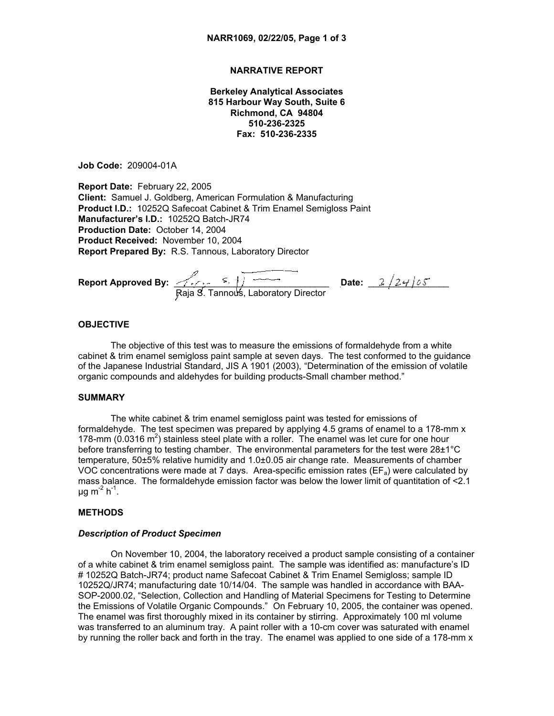# **NARRATIVE REPORT**

**Berkeley Analytical Associates 815 Harbour Way South, Suite 6 Richmond, CA 94804 510-236-2325 Fax: 510-236-2335**

**Job Code:** 209004-01A

**Report Date:** February 22, 2005 **Client:** Samuel J. Goldberg, American Formulation & Manufacturing **Product I.D.:** 10252Q Safecoat Cabinet & Trim Enamel Semigloss Paint **Manufacturer's I.D.:** 10252Q Batch-JR74 **Production Date:** October 14, 2004 **Product Received:** November 10, 2004 **Report Prepared By:** R.S. Tannous, Laboratory Director

**Report Approved By:** \_\_\_\_\_\_\_\_\_\_\_\_\_\_\_\_\_\_\_\_\_\_\_\_\_\_\_\_\_\_\_\_\_**Date:** \_\_\_\_\_\_\_\_\_\_\_\_\_\_\_\_ Raja S. Tannous, Laboratory Director

### **OBJECTIVE**

The objective of this test was to measure the emissions of formaldehyde from a white cabinet & trim enamel semigloss paint sample at seven days. The test conformed to the guidance of the Japanese Industrial Standard, JIS A 1901 (2003), "Determination of the emission of volatile organic compounds and aldehydes for building products-Small chamber method."

# **SUMMARY**

The white cabinet & trim enamel semigloss paint was tested for emissions of formaldehyde. The test specimen was prepared by applying 4.5 grams of enamel to a 178-mm x 178-mm  $(0.0316 \text{ m}^2)$  stainless steel plate with a roller. The enamel was let cure for one hour before transferring to testing chamber. The environmental parameters for the test were 28±1°C temperature, 50±5% relative humidity and 1.0±0.05 air change rate. Measurements of chamber VOC concentrations were made at 7 days. Area-specific emission rates ( $EF_a$ ) were calculated by mass balance. The formaldehyde emission factor was below the lower limit of quantitation of <2.1  $\mu$ g m<sup>-2</sup> h<sup>-1</sup>.

# **METHODS**

#### *Description of Product Specimen*

On November 10, 2004, the laboratory received a product sample consisting of a container of a white cabinet & trim enamel semigloss paint. The sample was identified as: manufacture's ID # 10252Q Batch-JR74; product name Safecoat Cabinet & Trim Enamel Semigloss; sample ID 10252Q/JR74; manufacturing date 10/14/04. The sample was handled in accordance with BAA-SOP-2000.02, "Selection, Collection and Handling of Material Specimens for Testing to Determine the Emissions of Volatile Organic Compounds." On February 10, 2005, the container was opened. The enamel was first thoroughly mixed in its container by stirring. Approximately 100 ml volume was transferred to an aluminum tray. A paint roller with a 10-cm cover was saturated with enamel by running the roller back and forth in the tray. The enamel was applied to one side of a 178-mm x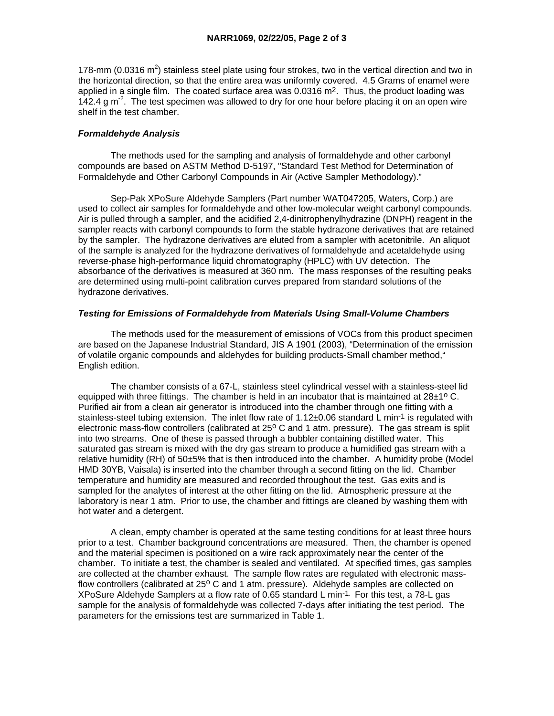178-mm (0.0316  $m^2$ ) stainless steel plate using four strokes, two in the vertical direction and two in the horizontal direction, so that the entire area was uniformly covered. 4.5 Grams of enamel were applied in a single film. The coated surface area was 0.0316 m2. Thus, the product loading was 142.4 g m<sup>-2</sup>. The test specimen was allowed to dry for one hour before placing it on an open wire shelf in the test chamber.

# *Formaldehyde Analysis*

 The methods used for the sampling and analysis of formaldehyde and other carbonyl compounds are based on ASTM Method D-5197, "Standard Test Method for Determination of Formaldehyde and Other Carbonyl Compounds in Air (Active Sampler Methodology)."

 Sep-Pak XPoSure Aldehyde Samplers (Part number WAT047205, Waters, Corp.) are used to collect air samples for formaldehyde and other low-molecular weight carbonyl compounds. Air is pulled through a sampler, and the acidified 2,4-dinitrophenylhydrazine (DNPH) reagent in the sampler reacts with carbonyl compounds to form the stable hydrazone derivatives that are retained by the sampler. The hydrazone derivatives are eluted from a sampler with acetonitrile. An aliquot of the sample is analyzed for the hydrazone derivatives of formaldehyde and acetaldehyde using reverse-phase high-performance liquid chromatography (HPLC) with UV detection. The absorbance of the derivatives is measured at 360 nm. The mass responses of the resulting peaks are determined using multi-point calibration curves prepared from standard solutions of the hydrazone derivatives.

### *Testing for Emissions of Formaldehyde from Materials Using Small-Volume Chambers*

 The methods used for the measurement of emissions of VOCs from this product specimen are based on the Japanese Industrial Standard, JIS A 1901 (2003), "Determination of the emission of volatile organic compounds and aldehydes for building products-Small chamber method," English edition.

 The chamber consists of a 67-L, stainless steel cylindrical vessel with a stainless-steel lid equipped with three fittings. The chamber is held in an incubator that is maintained at  $28\pm10$  C. Purified air from a clean air generator is introduced into the chamber through one fitting with a stainless-steel tubing extension. The inlet flow rate of 1.12±0.06 standard L min-1 is regulated with electronic mass-flow controllers (calibrated at 25° C and 1 atm. pressure). The gas stream is split into two streams. One of these is passed through a bubbler containing distilled water. This saturated gas stream is mixed with the dry gas stream to produce a humidified gas stream with a relative humidity (RH) of 50±5% that is then introduced into the chamber. A humidity probe (Model HMD 30YB, Vaisala) is inserted into the chamber through a second fitting on the lid. Chamber temperature and humidity are measured and recorded throughout the test. Gas exits and is sampled for the analytes of interest at the other fitting on the lid. Atmospheric pressure at the laboratory is near 1 atm. Prior to use, the chamber and fittings are cleaned by washing them with hot water and a detergent.

 A clean, empty chamber is operated at the same testing conditions for at least three hours prior to a test. Chamber background concentrations are measured. Then, the chamber is opened and the material specimen is positioned on a wire rack approximately near the center of the chamber. To initiate a test, the chamber is sealed and ventilated. At specified times, gas samples are collected at the chamber exhaust. The sample flow rates are regulated with electronic massflow controllers (calibrated at 25° C and 1 atm. pressure). Aldehyde samples are collected on XPoSure Aldehyde Samplers at a flow rate of 0.65 standard L min-1. For this test, a 78-L gas sample for the analysis of formaldehyde was collected 7-days after initiating the test period. The parameters for the emissions test are summarized in Table 1.